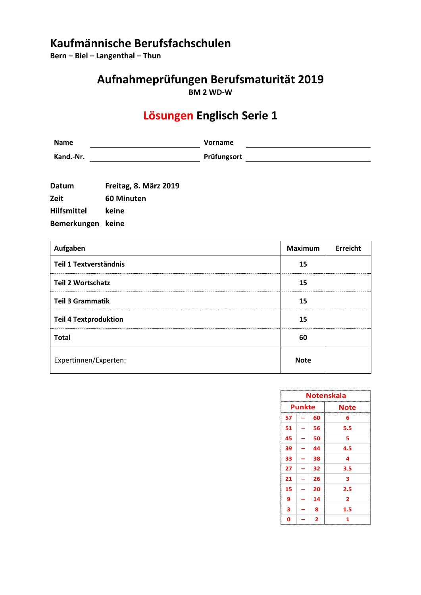# **Kaufmännische Berufsfachschulen**

**Bern – Biel – Langenthal – Thun**

## **Aufnahmeprüfungen Berufsmaturität 2019 BM 2 WD-W**

# **Lösungen Englisch Serie 1**

| <b>Name</b> | <b>Vorname</b> |
|-------------|----------------|
| Kand.-Nr.   | Prüfungsort    |

| Datum              | Freitag, 8. März 2019 |
|--------------------|-----------------------|
| Zeit               | 60 Minuten            |
| <b>Hilfsmittel</b> | keine                 |
| Bemerkungen keine  |                       |

| Aufgaben                      | <b>Maximum</b> | Erreicht |
|-------------------------------|----------------|----------|
| <b>Teil 1 Textverständnis</b> | 15             |          |
| <b>Teil 2 Wortschatz</b>      | 15             |          |
| <b>Teil 3 Grammatik</b>       | 15             |          |
| <b>Teil 4 Textproduktion</b>  | 15             |          |
| <b>Total</b>                  | 60             |          |
| Expertinnen/Experten:         | <b>Note</b>    |          |

| <b>Notenskala</b> |  |    |      |
|-------------------|--|----|------|
| Punkte            |  |    | Note |
| 57                |  | 60 | 6    |
| 51                |  | 56 | 5.5  |
| 45                |  | 50 | 5    |
| 39                |  | 44 | 4.5  |
| 33                |  | 38 | 4    |
| 27                |  | 32 | 3.5  |
| 21                |  | 26 | 3    |
| 15                |  | 20 | 2.5  |
| 9                 |  | 14 | 2    |
| 3                 |  | 8  | 1.5  |
| 0                 |  | 2  | 1    |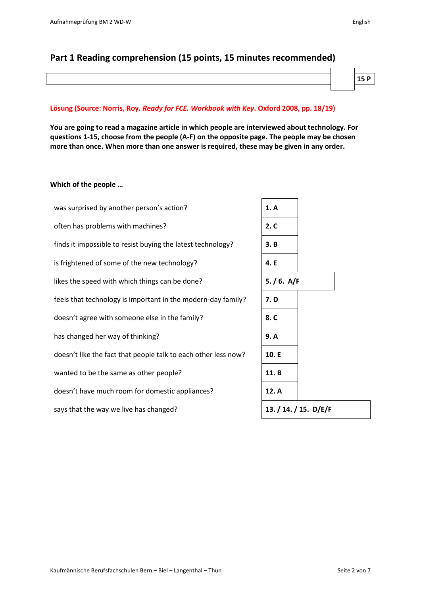

## **Lösung (Source: Norris, Roy.** *Ready for FCE. Workbook with Key***. Oxford 2008, pp. 18/19)**

**You are going to read a magazine article in which people are interviewed about technology. For questions 1-15, choose from the people (A-F) on the opposite page. The people may be chosen more than once. When more than one answer is required, these may be given in any order.**

## **Which of the people …**

| was surprised by another person's action?                      | 1. A                  |
|----------------------------------------------------------------|-----------------------|
| often has problems with machines?                              | 2.C                   |
| finds it impossible to resist buying the latest technology?    | 3. B                  |
| is frightened of some of the new technology?                   | 4. E                  |
| likes the speed with which things can be done?                 | 5./6. A/F             |
| feels that technology is important in the modern-day family?   | 7. D                  |
| doesn't agree with someone else in the family?                 | 8. C                  |
| has changed her way of thinking?                               | 9. A                  |
| doesn't like the fact that people talk to each other less now? | 10. E                 |
| wanted to be the same as other people?                         | 11. B                 |
| doesn't have much room for domestic appliances?                | 12. A                 |
| says that the way we live has changed?                         | 13. / 14. / 15. D/E/F |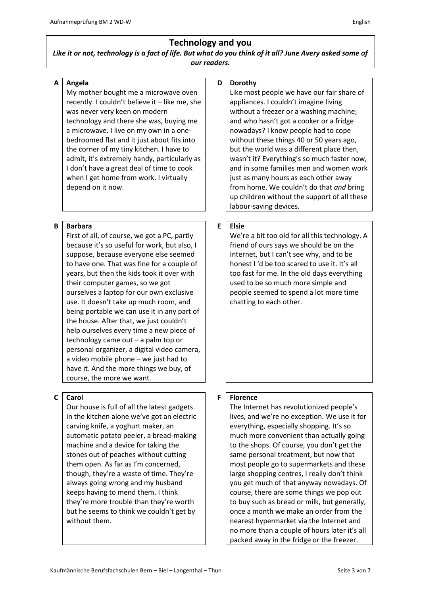## **Technology and you**

*Like it or not, technology is a fact of life. But what do you think of it all? June Avery asked some of our readers.*

#### **A Angela**

My mother bought me a microwave oven recently. I couldn't believe it – like me, she was never very keen on modern technology and there she was, buying me a microwave. I live on my own in a onebedroomed flat and it just about fits into the corner of my tiny kitchen. I have to admit, it's extremely handy, particularly as I don't have a great deal of time to cook when I get home from work. I virtually depend on it now.

## **B Barbara**

First of all, of course, we got a PC, partly because it's so useful for work, but also, I suppose, because everyone else seemed to have one. That was fine for a couple of years, but then the kids took it over with their computer games, so we got ourselves a laptop for our own exclusive use. It doesn't take up much room, and being portable we can use it in any part of the house. After that, we just couldn't help ourselves every time a new piece of technology came out – a palm top or personal organizer, a digital video camera, a video mobile phone – we just had to have it. And the more things we buy, of course, the more we want.

## **C Carol**

Our house is full of all the latest gadgets. In the kitchen alone we've got an electric carving knife, a yoghurt maker, an automatic potato peeler, a bread-making machine and a device for taking the stones out of peaches without cutting them open. As far as I'm concerned, though, they're a waste of time. They're always going wrong and my husband keeps having to mend them. I think they're more trouble than they're worth but he seems to think we couldn't get by without them.

## **D Dorothy**

Like most people we have our fair share of appliances. I couldn't imagine living without a freezer or a washing machine; and who hasn't got a cooker or a fridge nowadays? I know people had to cope without these things 40 or 50 years ago, but the world was a different place then, wasn't it? Everything's so much faster now, and in some families men and women work just as many hours as each other away from home. We couldn't do that *and* bring up children without the support of all these labour-saving devices.

## **E Elsie**

We're a bit too old for all this technology. A friend of ours says we should be on the Internet, but I can't see why, and to be honest I 'd be too scared to use it. It's all too fast for me. In the old days everything used to be so much more simple and people seemed to spend a lot more time chatting to each other.

## **F Florence**

The Internet has revolutionized people's lives, and we're no exception. We use it for everything, especially shopping. It's so much more convenient than actually going to the shops. Of course, you don't get the same personal treatment, but now that most people go to supermarkets and these large shopping centres, I really don't think you get much of that anyway nowadays. Of course, there are some things we pop out to buy such as bread or milk, but generally, once a month we make an order from the nearest hypermarket via the Internet and no more than a couple of hours later it's all packed away in the fridge or the freezer.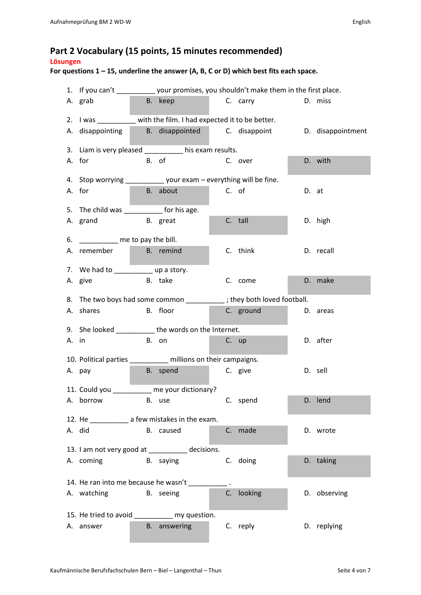## **Part 2 Vocabulary (15 points, 15 minutes recommended)**

#### **Lösungen**

**For questions 1 – 15, underline the answer (A, B, C or D) which best fits each space.**

|                                                 | 1. If you can't ____________ your promises, you shouldn't make them in the first place.                        |  |                          |  |                    |  |                                                                  |
|-------------------------------------------------|----------------------------------------------------------------------------------------------------------------|--|--------------------------|--|--------------------|--|------------------------------------------------------------------|
|                                                 | A. grab                                                                                                        |  | B. keep C. carry D. miss |  |                    |  |                                                                  |
|                                                 | 2. I was _________ with the film. I had expected it to be better.                                              |  |                          |  |                    |  |                                                                  |
|                                                 |                                                                                                                |  |                          |  |                    |  | A. disappointing B. disappointed C. disappoint D. disappointment |
|                                                 |                                                                                                                |  |                          |  |                    |  |                                                                  |
|                                                 | 3. Liam is very pleased __________ his exam results.                                                           |  |                          |  |                    |  |                                                                  |
|                                                 | A. for B. of C. over                                                                                           |  |                          |  |                    |  | D. with                                                          |
|                                                 | 4. Stop worrying ____________ your exam - everything will be fine.                                             |  |                          |  |                    |  |                                                                  |
|                                                 | A. for                                                                                                         |  | B. about C. of           |  |                    |  | D. at                                                            |
|                                                 | 5. The child was ____________ for his age.                                                                     |  |                          |  |                    |  |                                                                  |
|                                                 | A. grand B. great                                                                                              |  |                          |  | C. tall            |  | D. high                                                          |
|                                                 |                                                                                                                |  |                          |  |                    |  |                                                                  |
|                                                 | 6. ___________ me to pay the bill.                                                                             |  |                          |  |                    |  |                                                                  |
|                                                 | A. remember B. remind                                                                                          |  |                          |  | C. think           |  | D. recall                                                        |
|                                                 |                                                                                                                |  |                          |  |                    |  |                                                                  |
|                                                 | 7. We had to _______________ up a story.<br>A. give B. take                                                    |  |                          |  | C. come            |  | D. make                                                          |
|                                                 |                                                                                                                |  |                          |  |                    |  |                                                                  |
|                                                 | 8. The two boys had some common __________; they both loved football.                                          |  |                          |  |                    |  |                                                                  |
|                                                 | A. shares B. floor                                                                                             |  |                          |  | C. ground D. areas |  |                                                                  |
|                                                 | 9. She looked ___________ the words on the Internet.                                                           |  |                          |  |                    |  |                                                                  |
|                                                 | A. in                                                                                                          |  | <b>B.</b> on             |  | C. up              |  | D. after                                                         |
|                                                 |                                                                                                                |  |                          |  |                    |  |                                                                  |
|                                                 | 10. Political parties _________ millions on their campaigns.                                                   |  |                          |  |                    |  |                                                                  |
|                                                 | A. pay the control of the control of the control of the control of the control of the control of the control o |  | B. spend C. give         |  |                    |  | D. sell                                                          |
|                                                 | 11. Could you ________ me your dictionary?                                                                     |  |                          |  |                    |  |                                                                  |
|                                                 | A. borrow a B. use a B. Spend B. lend                                                                          |  |                          |  |                    |  |                                                                  |
|                                                 |                                                                                                                |  |                          |  |                    |  |                                                                  |
|                                                 | 12. He ______________ a few mistakes in the exam.                                                              |  |                          |  |                    |  |                                                                  |
|                                                 | A. did                                                                                                         |  | B. caused                |  | C. made            |  | D. wrote                                                         |
| 13. I am not very good at __________ decisions. |                                                                                                                |  |                          |  |                    |  |                                                                  |
|                                                 | A. coming B. saying                                                                                            |  |                          |  | C. doing           |  | D. taking                                                        |
|                                                 |                                                                                                                |  |                          |  |                    |  |                                                                  |
|                                                 | 14. He ran into me because he wasn't __________.                                                               |  |                          |  |                    |  |                                                                  |
|                                                 | A. watching B. seeing                                                                                          |  |                          |  | C. looking         |  | D. observing                                                     |
|                                                 |                                                                                                                |  |                          |  |                    |  |                                                                  |
|                                                 | 15. He tried to avoid ___________ my question.                                                                 |  |                          |  |                    |  |                                                                  |
|                                                 | A. answer                                                                                                      |  | B. answering             |  | C. reply           |  | D. replying                                                      |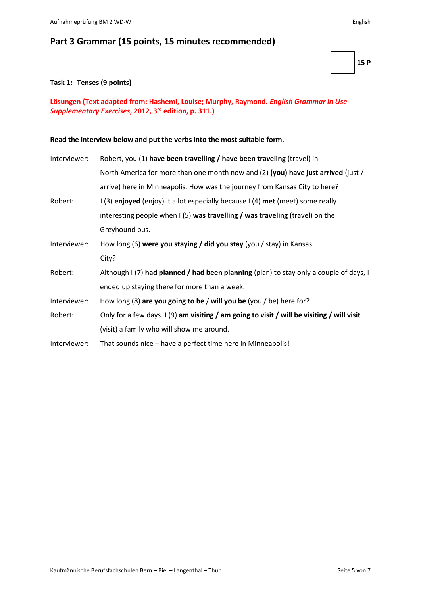# **15 P**

## **Task 1: Tenses (9 points)**

**Lösungen (Text adapted from: Hashemi, Louise; Murphy, Raymond.** *English Grammar in Use Supplementary Exercises***, 2012, 3 rd edition, p. 311.)**

#### **Read the interview below and put the verbs into the most suitable form.**

| Interviewer: | Robert, you (1) have been travelling / have been traveling (travel) in                      |  |  |
|--------------|---------------------------------------------------------------------------------------------|--|--|
|              | North America for more than one month now and (2) (you) have just arrived (just /           |  |  |
|              | arrive) here in Minneapolis. How was the journey from Kansas City to here?                  |  |  |
| Robert:      | $1(3)$ enjoyed (enjoy) it a lot especially because $1(4)$ met (meet) some really            |  |  |
|              | interesting people when $I(5)$ was travelling / was traveling (travel) on the               |  |  |
|              | Greyhound bus.                                                                              |  |  |
| Interviewer: | How long (6) were you staying / did you stay (you / stay) in Kansas                         |  |  |
|              | City?                                                                                       |  |  |
| Robert:      | Although I (7) had planned / had been planning (plan) to stay only a couple of days, I      |  |  |
|              | ended up staying there for more than a week.                                                |  |  |
| Interviewer: | How long (8) are you going to be / will you be (you / be) here for?                         |  |  |
| Robert:      | Only for a few days. $I(9)$ am visiting / am going to visit / will be visiting / will visit |  |  |
|              | (visit) a family who will show me around.                                                   |  |  |
| Interviewer: | That sounds nice - have a perfect time here in Minneapolis!                                 |  |  |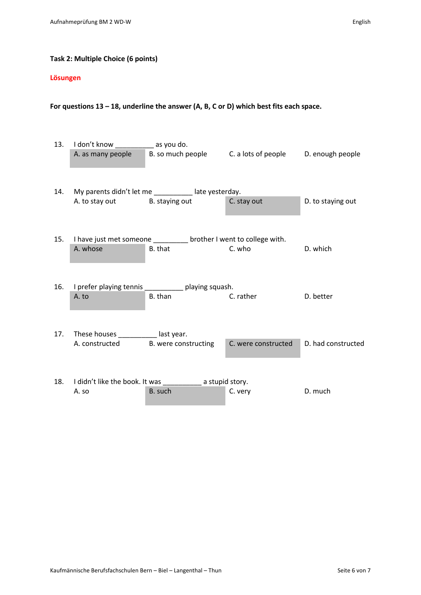## **Task 2: Multiple Choice (6 points)**

#### **Lösungen**

## **For questions 13 – 18, underline the answer (A, B, C or D) which best fits each space.**

|     | 13. I don't know as you do.<br>A. as many people | B. so much people C. a lots of people D. enough people                              |                     |                    |
|-----|--------------------------------------------------|-------------------------------------------------------------------------------------|---------------------|--------------------|
|     |                                                  |                                                                                     |                     |                    |
| 14. |                                                  | My parents didn't let me _________ late yesterday.<br>A. to stay out B. staying out | C. stay out         | D. to staying out  |
|     |                                                  |                                                                                     |                     |                    |
|     |                                                  | 15. I have just met someone ________ brother I went to college with.                |                     |                    |
|     | A. whose                                         | B. that                                                                             | C. who              | D. which           |
|     |                                                  |                                                                                     |                     |                    |
| 16. | A. to                                            | I prefer playing tennis ____________ playing squash.<br>B. than<br><b>C.</b> rather |                     | D. better          |
|     |                                                  |                                                                                     |                     |                    |
|     | 17. These houses ___________ last year.          |                                                                                     |                     |                    |
|     |                                                  | A. constructed B. were constructing                                                 | C. were constructed | D. had constructed |
|     |                                                  |                                                                                     |                     |                    |
|     |                                                  | 18. I didn't like the book. It was _____________ a stupid story.                    |                     |                    |
|     | A. so                                            | B. such                                                                             | C. very             | D. much            |